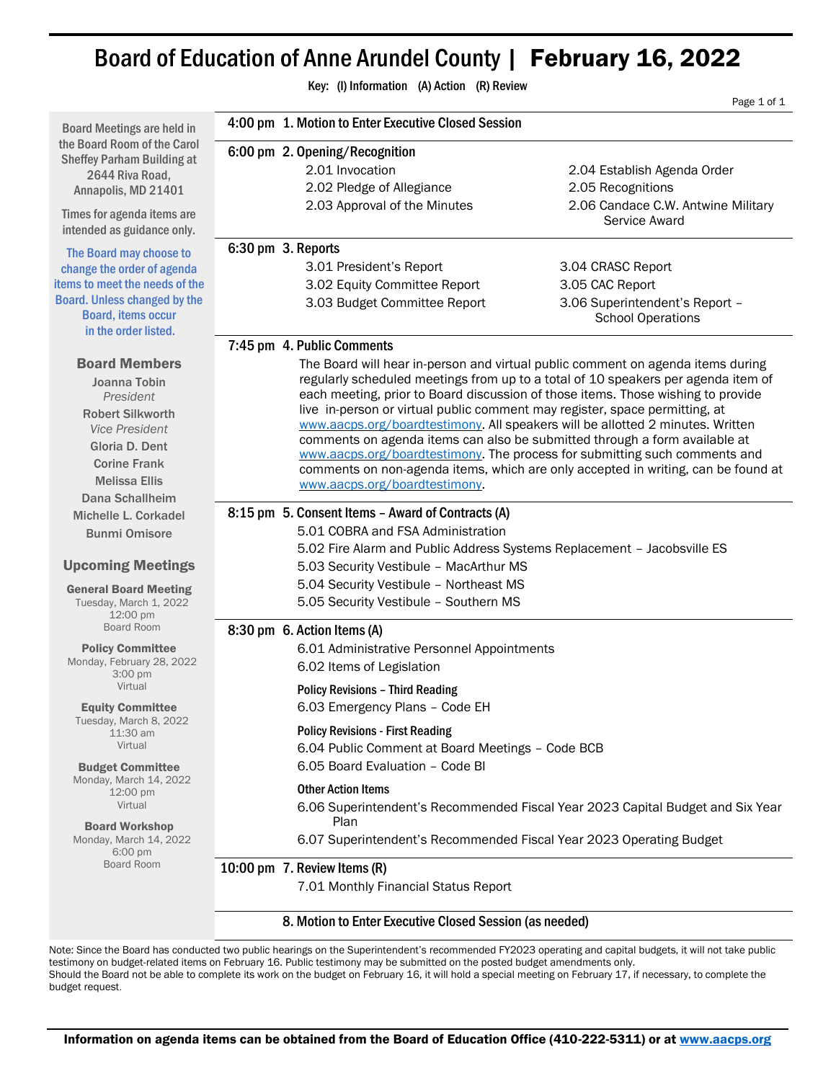# Board of Education of Anne Arundel County | February 16, 2022

|                                                                                                                                                                                                  |                                                                                 | Key: (I) Information (A) Action (R) Review                                                                                                                                                                                                                                                                                                                                                                                                                                                                                                                                                                                                                                                                  |                                                                                                         |  |
|--------------------------------------------------------------------------------------------------------------------------------------------------------------------------------------------------|---------------------------------------------------------------------------------|-------------------------------------------------------------------------------------------------------------------------------------------------------------------------------------------------------------------------------------------------------------------------------------------------------------------------------------------------------------------------------------------------------------------------------------------------------------------------------------------------------------------------------------------------------------------------------------------------------------------------------------------------------------------------------------------------------------|---------------------------------------------------------------------------------------------------------|--|
|                                                                                                                                                                                                  |                                                                                 |                                                                                                                                                                                                                                                                                                                                                                                                                                                                                                                                                                                                                                                                                                             | Page 1 of 1                                                                                             |  |
| <b>Board Meetings are held in</b>                                                                                                                                                                |                                                                                 | 4:00 pm 1. Motion to Enter Executive Closed Session                                                                                                                                                                                                                                                                                                                                                                                                                                                                                                                                                                                                                                                         |                                                                                                         |  |
| the Board Room of the Carol<br><b>Sheffey Parham Building at</b><br>2644 Riva Road,<br>Annapolis, MD 21401<br>Times for agenda items are                                                         |                                                                                 | 6:00 pm 2. Opening/Recognition<br>2.01 Invocation<br>2.02 Pledge of Allegiance<br>2.03 Approval of the Minutes                                                                                                                                                                                                                                                                                                                                                                                                                                                                                                                                                                                              | 2.04 Establish Agenda Order<br>2.05 Recognitions<br>2.06 Candace C.W. Antwine Military<br>Service Award |  |
| intended as guidance only.                                                                                                                                                                       |                                                                                 |                                                                                                                                                                                                                                                                                                                                                                                                                                                                                                                                                                                                                                                                                                             |                                                                                                         |  |
| The Board may choose to<br>change the order of agenda<br>items to meet the needs of the<br><b>Board. Unless changed by the</b><br><b>Board, items occur</b><br>in the order listed.              |                                                                                 | 6:30 pm 3. Reports<br>3.01 President's Report<br>3.02 Equity Committee Report<br>3.03 Budget Committee Report                                                                                                                                                                                                                                                                                                                                                                                                                                                                                                                                                                                               | 3.04 CRASC Report<br>3.05 CAC Report<br>3.06 Superintendent's Report -<br><b>School Operations</b>      |  |
|                                                                                                                                                                                                  |                                                                                 | 7:45 pm 4. Public Comments                                                                                                                                                                                                                                                                                                                                                                                                                                                                                                                                                                                                                                                                                  |                                                                                                         |  |
| <b>Board Members</b><br>Joanna Tobin<br>President<br><b>Robert Silkworth</b><br><b>Vice President</b><br>Gloria D. Dent<br><b>Corine Frank</b><br><b>Melissa Ellis</b><br><b>Dana Schallheim</b> |                                                                                 | The Board will hear in-person and virtual public comment on agenda items during<br>regularly scheduled meetings from up to a total of 10 speakers per agenda item of<br>each meeting, prior to Board discussion of those items. Those wishing to provide<br>live in-person or virtual public comment may register, space permitting, at<br>www.aacps.org/boardtestimony. All speakers will be allotted 2 minutes. Written<br>comments on agenda items can also be submitted through a form available at<br>www.aacps.org/boardtestimony. The process for submitting such comments and<br>comments on non-agenda items, which are only accepted in writing, can be found at<br>www.aacps.org/boardtestimony. |                                                                                                         |  |
| Michelle L. Corkadel                                                                                                                                                                             | 8:15 pm 5. Consent Items - Award of Contracts (A)                               |                                                                                                                                                                                                                                                                                                                                                                                                                                                                                                                                                                                                                                                                                                             |                                                                                                         |  |
| <b>Bunmi Omisore</b>                                                                                                                                                                             |                                                                                 | 5.01 COBRA and FSA Administration                                                                                                                                                                                                                                                                                                                                                                                                                                                                                                                                                                                                                                                                           |                                                                                                         |  |
|                                                                                                                                                                                                  | 5.02 Fire Alarm and Public Address Systems Replacement - Jacobsville ES         |                                                                                                                                                                                                                                                                                                                                                                                                                                                                                                                                                                                                                                                                                                             |                                                                                                         |  |
| <b>Upcoming Meetings</b>                                                                                                                                                                         | 5.03 Security Vestibule - MacArthur MS                                          |                                                                                                                                                                                                                                                                                                                                                                                                                                                                                                                                                                                                                                                                                                             |                                                                                                         |  |
| <b>General Board Meeting</b><br>Tuesday, March 1, 2022<br>12:00 pm<br>Board Room                                                                                                                 | 5.04 Security Vestibule - Northeast MS<br>5.05 Security Vestibule - Southern MS |                                                                                                                                                                                                                                                                                                                                                                                                                                                                                                                                                                                                                                                                                                             |                                                                                                         |  |
|                                                                                                                                                                                                  |                                                                                 | 8:30 pm 6. Action Items (A)                                                                                                                                                                                                                                                                                                                                                                                                                                                                                                                                                                                                                                                                                 |                                                                                                         |  |
| <b>Policy Committee</b><br>Monday, February 28, 2022<br>3:00 pm                                                                                                                                  | 6.01 Administrative Personnel Appointments<br>6.02 Items of Legislation         |                                                                                                                                                                                                                                                                                                                                                                                                                                                                                                                                                                                                                                                                                                             |                                                                                                         |  |
| Virtual<br><b>Equity Committee</b>                                                                                                                                                               |                                                                                 | <b>Policy Revisions - Third Reading</b><br>6.03 Emergency Plans - Code EH                                                                                                                                                                                                                                                                                                                                                                                                                                                                                                                                                                                                                                   |                                                                                                         |  |
| Tuesday, March 8, 2022<br>11:30 am<br>Virtual                                                                                                                                                    |                                                                                 | <b>Policy Revisions - First Reading</b><br>6.04 Public Comment at Board Meetings - Code BCB                                                                                                                                                                                                                                                                                                                                                                                                                                                                                                                                                                                                                 |                                                                                                         |  |
| <b>Budget Committee</b><br>Monday, March 14, 2022<br>$12:00 \text{ pm}$<br>Virtual                                                                                                               |                                                                                 | 6.05 Board Evaluation - Code BI<br><b>Other Action Items</b>                                                                                                                                                                                                                                                                                                                                                                                                                                                                                                                                                                                                                                                | 6.06 Superintendent's Recommended Fiscal Year 2023 Capital Budget and Six Year                          |  |
| <b>Board Workshop</b><br>Monday, March 14, 2022                                                                                                                                                  | Plan<br>6.07 Superintendent's Recommended Fiscal Year 2023 Operating Budget     |                                                                                                                                                                                                                                                                                                                                                                                                                                                                                                                                                                                                                                                                                                             |                                                                                                         |  |
| 6:00 pm<br>Board Room                                                                                                                                                                            | 10:00 pm 7. Review Items (R)                                                    |                                                                                                                                                                                                                                                                                                                                                                                                                                                                                                                                                                                                                                                                                                             |                                                                                                         |  |
|                                                                                                                                                                                                  |                                                                                 | 7.01 Monthly Financial Status Report                                                                                                                                                                                                                                                                                                                                                                                                                                                                                                                                                                                                                                                                        |                                                                                                         |  |
|                                                                                                                                                                                                  |                                                                                 | 8. Motion to Enter Executive Closed Session (as needed)                                                                                                                                                                                                                                                                                                                                                                                                                                                                                                                                                                                                                                                     |                                                                                                         |  |

Note: Since the Board has conducted two public hearings on the Superintendent's recommended FY2023 operating and capital budgets, it will not take public testimony on budget-related items on February 16. Public testimony may be submitted on the posted budget amendments only. Should the Board not be able to complete its work on the budget on February 16, it will hold a special meeting on February 17, if necessary, to complete the budget request.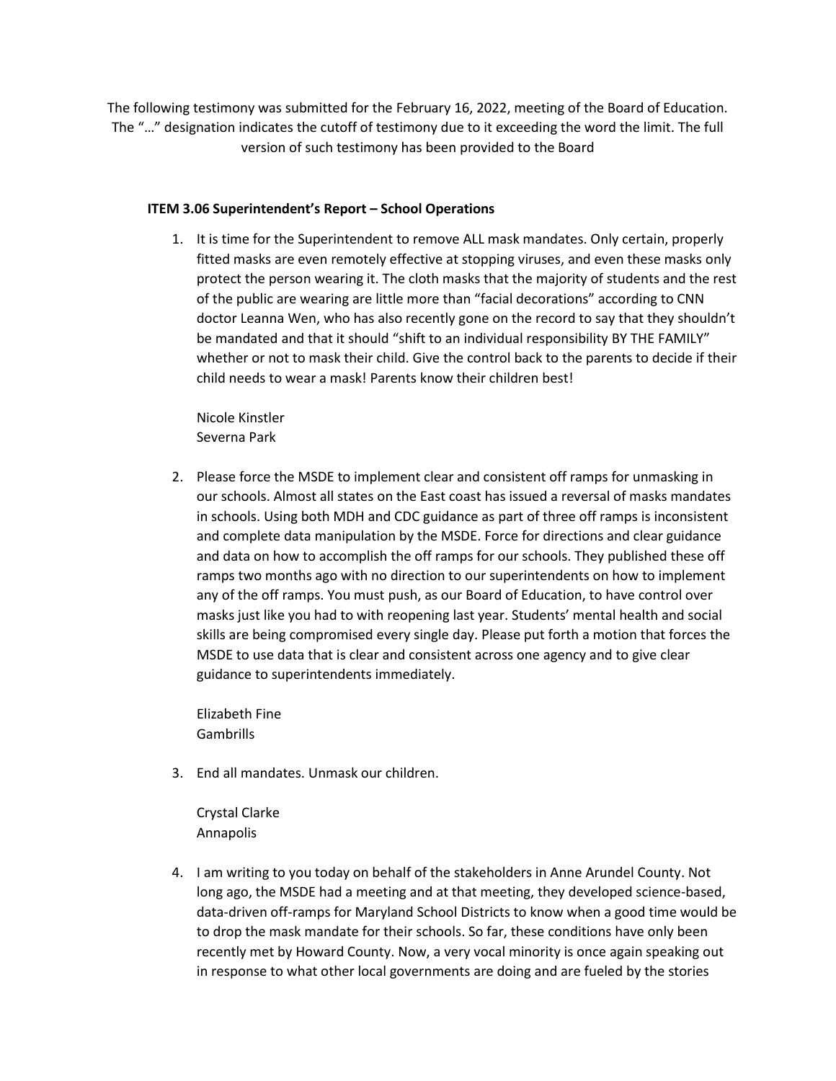The following testimony was submitted for the February 16, 2022, meeting of the Board of Education. The "…" designation indicates the cutoff of testimony due to it exceeding the word the limit. The full version of such testimony has been provided to the Board

# **ITEM 3.06 Superintendent's Report – School Operations**

1. It is time for the Superintendent to remove ALL mask mandates. Only certain, properly fitted masks are even remotely effective at stopping viruses, and even these masks only protect the person wearing it. The cloth masks that the majority of students and the rest of the public are wearing are little more than "facial decorations" according to CNN doctor Leanna Wen, who has also recently gone on the record to say that they shouldn't be mandated and that it should "shift to an individual responsibility BY THE FAMILY" whether or not to mask their child. Give the control back to the parents to decide if their child needs to wear a mask! Parents know their children best!

Nicole Kinstler Severna Park

2. Please force the MSDE to implement clear and consistent off ramps for unmasking in our schools. Almost all states on the East coast has issued a reversal of masks mandates in schools. Using both MDH and CDC guidance as part of three off ramps is inconsistent and complete data manipulation by the MSDE. Force for directions and clear guidance and data on how to accomplish the off ramps for our schools. They published these off ramps two months ago with no direction to our superintendents on how to implement any of the off ramps. You must push, as our Board of Education, to have control over masks just like you had to with reopening last year. Students' mental health and social skills are being compromised every single day. Please put forth a motion that forces the MSDE to use data that is clear and consistent across one agency and to give clear guidance to superintendents immediately.

Elizabeth Fine Gambrills

3. End all mandates. Unmask our children.

Crystal Clarke Annapolis

4. I am writing to you today on behalf of the stakeholders in Anne Arundel County. Not long ago, the MSDE had a meeting and at that meeting, they developed science-based, data-driven off-ramps for Maryland School Districts to know when a good time would be to drop the mask mandate for their schools. So far, these conditions have only been recently met by Howard County. Now, a very vocal minority is once again speaking out in response to what other local governments are doing and are fueled by the stories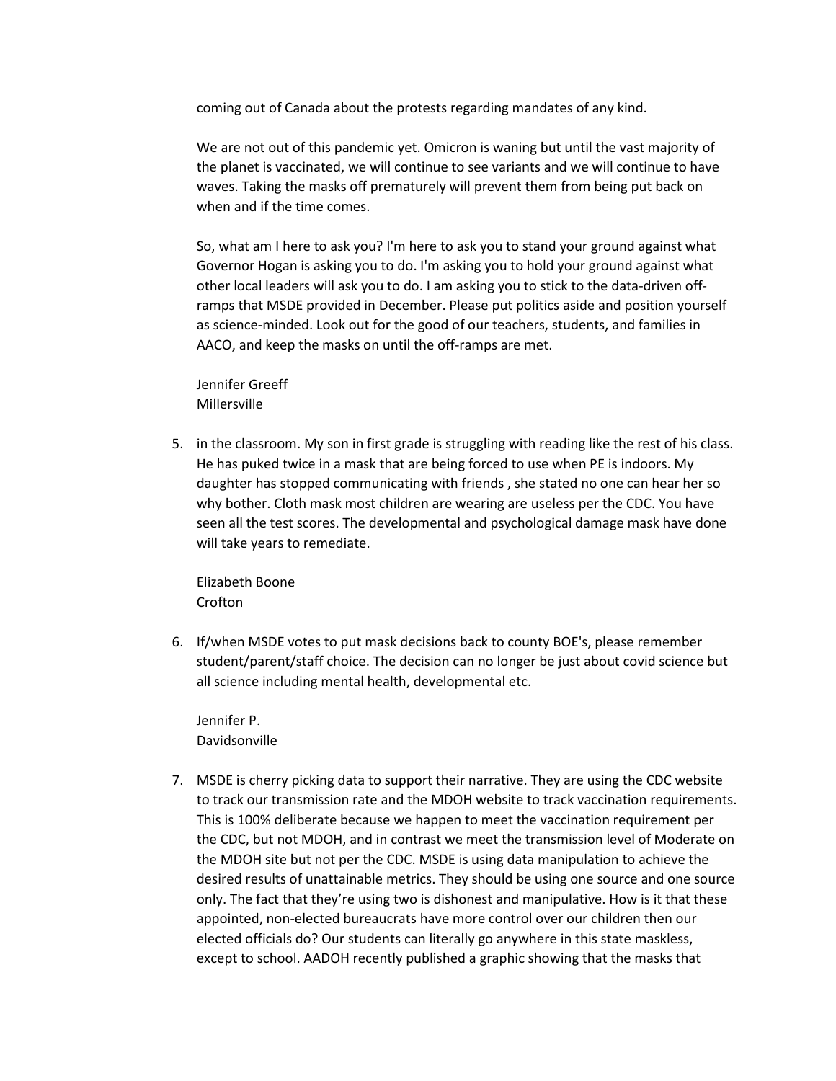coming out of Canada about the protests regarding mandates of any kind.

We are not out of this pandemic yet. Omicron is waning but until the vast majority of the planet is vaccinated, we will continue to see variants and we will continue to have waves. Taking the masks off prematurely will prevent them from being put back on when and if the time comes.

So, what am I here to ask you? I'm here to ask you to stand your ground against what Governor Hogan is asking you to do. I'm asking you to hold your ground against what other local leaders will ask you to do. I am asking you to stick to the data-driven offramps that MSDE provided in December. Please put politics aside and position yourself as science-minded. Look out for the good of our teachers, students, and families in AACO, and keep the masks on until the off-ramps are met.

Jennifer Greeff Millersville

5. in the classroom. My son in first grade is struggling with reading like the rest of his class. He has puked twice in a mask that are being forced to use when PE is indoors. My daughter has stopped communicating with friends , she stated no one can hear her so why bother. Cloth mask most children are wearing are useless per the CDC. You have seen all the test scores. The developmental and psychological damage mask have done will take years to remediate.

Elizabeth Boone Crofton

6. If/when MSDE votes to put mask decisions back to county BOE's, please remember student/parent/staff choice. The decision can no longer be just about covid science but all science including mental health, developmental etc.

Jennifer P. Davidsonville

7. MSDE is cherry picking data to support their narrative. They are using the CDC website to track our transmission rate and the MDOH website to track vaccination requirements. This is 100% deliberate because we happen to meet the vaccination requirement per the CDC, but not MDOH, and in contrast we meet the transmission level of Moderate on the MDOH site but not per the CDC. MSDE is using data manipulation to achieve the desired results of unattainable metrics. They should be using one source and one source only. The fact that they're using two is dishonest and manipulative. How is it that these appointed, non-elected bureaucrats have more control over our children then our elected officials do? Our students can literally go anywhere in this state maskless, except to school. AADOH recently published a graphic showing that the masks that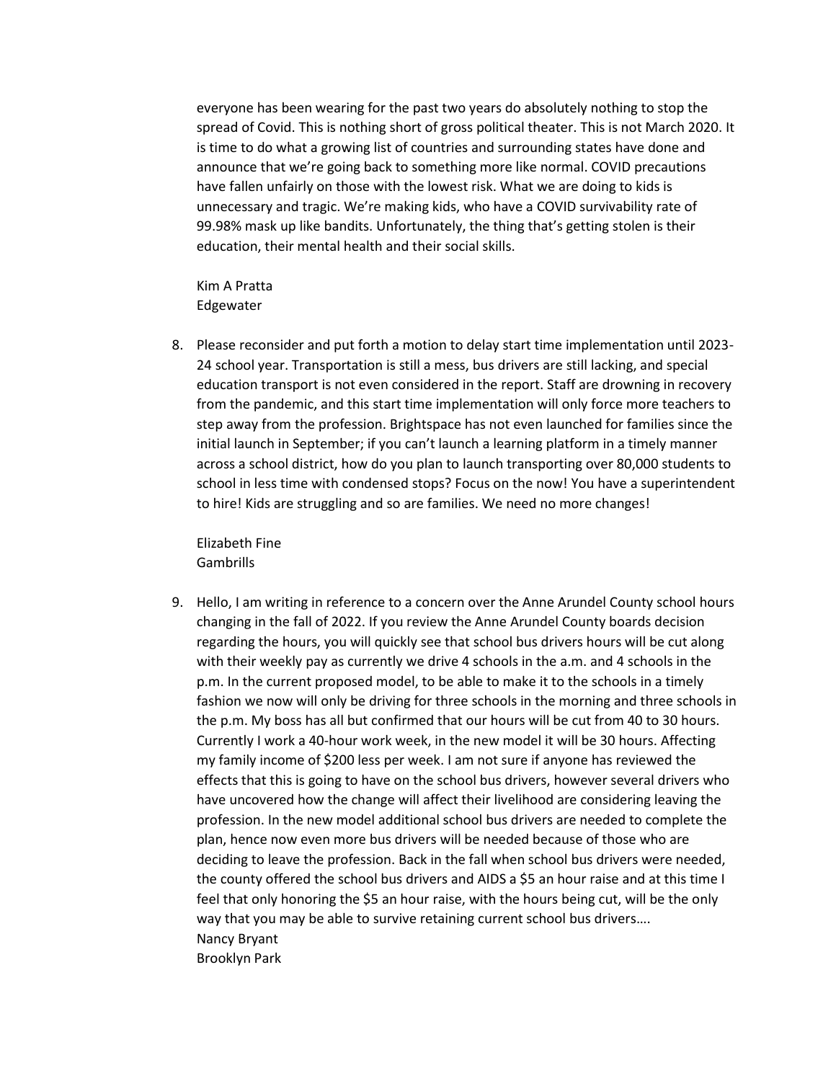everyone has been wearing for the past two years do absolutely nothing to stop the spread of Covid. This is nothing short of gross political theater. This is not March 2020. It is time to do what a growing list of countries and surrounding states have done and announce that we're going back to something more like normal. COVID precautions have fallen unfairly on those with the lowest risk. What we are doing to kids is unnecessary and tragic. We're making kids, who have a COVID survivability rate of 99.98% mask up like bandits. Unfortunately, the thing that's getting stolen is their education, their mental health and their social skills.

Kim A Pratta Edgewater

8. Please reconsider and put forth a motion to delay start time implementation until 2023- 24 school year. Transportation is still a mess, bus drivers are still lacking, and special education transport is not even considered in the report. Staff are drowning in recovery from the pandemic, and this start time implementation will only force more teachers to step away from the profession. Brightspace has not even launched for families since the initial launch in September; if you can't launch a learning platform in a timely manner across a school district, how do you plan to launch transporting over 80,000 students to school in less time with condensed stops? Focus on the now! You have a superintendent to hire! Kids are struggling and so are families. We need no more changes!

Elizabeth Fine Gambrills

9. Hello, I am writing in reference to a concern over the Anne Arundel County school hours changing in the fall of 2022. If you review the Anne Arundel County boards decision regarding the hours, you will quickly see that school bus drivers hours will be cut along with their weekly pay as currently we drive 4 schools in the a.m. and 4 schools in the p.m. In the current proposed model, to be able to make it to the schools in a timely fashion we now will only be driving for three schools in the morning and three schools in the p.m. My boss has all but confirmed that our hours will be cut from 40 to 30 hours. Currently I work a 40-hour work week, in the new model it will be 30 hours. Affecting my family income of \$200 less per week. I am not sure if anyone has reviewed the effects that this is going to have on the school bus drivers, however several drivers who have uncovered how the change will affect their livelihood are considering leaving the profession. In the new model additional school bus drivers are needed to complete the plan, hence now even more bus drivers will be needed because of those who are deciding to leave the profession. Back in the fall when school bus drivers were needed, the county offered the school bus drivers and AIDS a \$5 an hour raise and at this time I feel that only honoring the \$5 an hour raise, with the hours being cut, will be the only way that you may be able to survive retaining current school bus drivers…. Nancy Bryant Brooklyn Park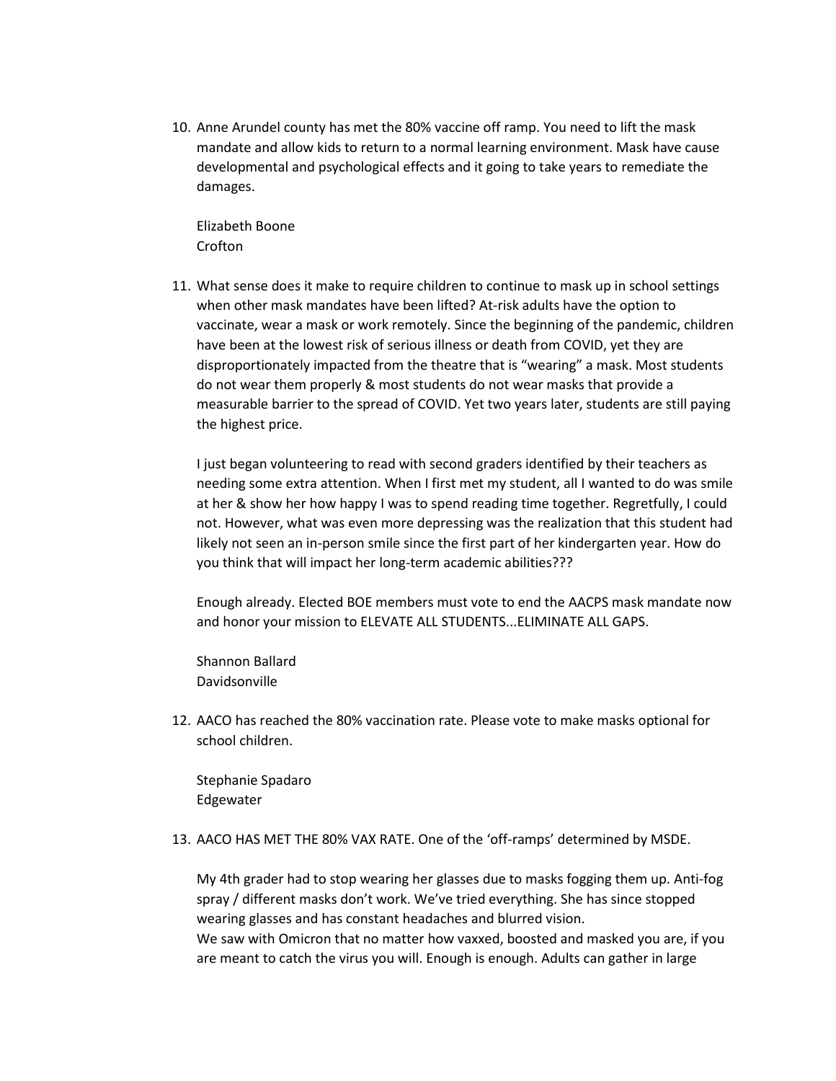10. Anne Arundel county has met the 80% vaccine off ramp. You need to lift the mask mandate and allow kids to return to a normal learning environment. Mask have cause developmental and psychological effects and it going to take years to remediate the damages.

Elizabeth Boone Crofton

11. What sense does it make to require children to continue to mask up in school settings when other mask mandates have been lifted? At-risk adults have the option to vaccinate, wear a mask or work remotely. Since the beginning of the pandemic, children have been at the lowest risk of serious illness or death from COVID, yet they are disproportionately impacted from the theatre that is "wearing" a mask. Most students do not wear them properly & most students do not wear masks that provide a measurable barrier to the spread of COVID. Yet two years later, students are still paying the highest price.

I just began volunteering to read with second graders identified by their teachers as needing some extra attention. When I first met my student, all I wanted to do was smile at her & show her how happy I was to spend reading time together. Regretfully, I could not. However, what was even more depressing was the realization that this student had likely not seen an in-person smile since the first part of her kindergarten year. How do you think that will impact her long-term academic abilities???

Enough already. Elected BOE members must vote to end the AACPS mask mandate now and honor your mission to ELEVATE ALL STUDENTS...ELIMINATE ALL GAPS.

Shannon Ballard Davidsonville

12. AACO has reached the 80% vaccination rate. Please vote to make masks optional for school children.

Stephanie Spadaro Edgewater

13. AACO HAS MET THE 80% VAX RATE. One of the 'off-ramps' determined by MSDE.

My 4th grader had to stop wearing her glasses due to masks fogging them up. Anti-fog spray / different masks don't work. We've tried everything. She has since stopped wearing glasses and has constant headaches and blurred vision.

We saw with Omicron that no matter how vaxxed, boosted and masked you are, if you are meant to catch the virus you will. Enough is enough. Adults can gather in large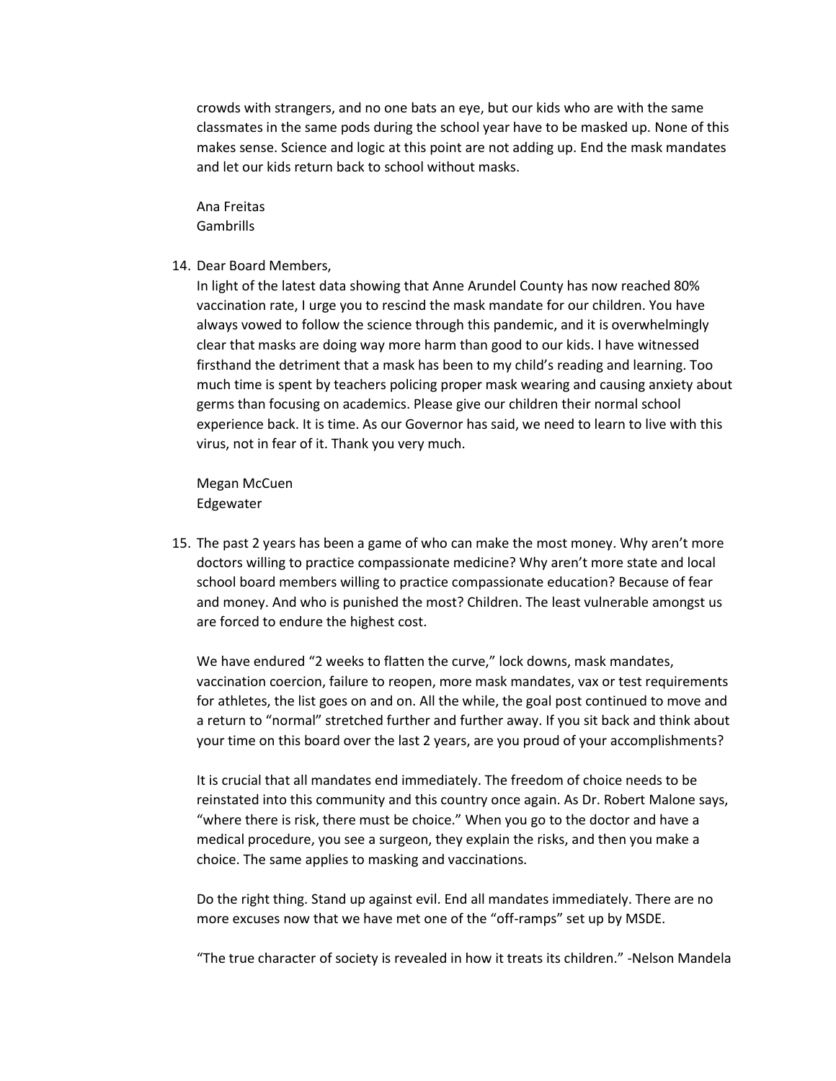crowds with strangers, and no one bats an eye, but our kids who are with the same classmates in the same pods during the school year have to be masked up. None of this makes sense. Science and logic at this point are not adding up. End the mask mandates and let our kids return back to school without masks.

Ana Freitas Gambrills

### 14. Dear Board Members,

In light of the latest data showing that Anne Arundel County has now reached 80% vaccination rate, I urge you to rescind the mask mandate for our children. You have always vowed to follow the science through this pandemic, and it is overwhelmingly clear that masks are doing way more harm than good to our kids. I have witnessed firsthand the detriment that a mask has been to my child's reading and learning. Too much time is spent by teachers policing proper mask wearing and causing anxiety about germs than focusing on academics. Please give our children their normal school experience back. It is time. As our Governor has said, we need to learn to live with this virus, not in fear of it. Thank you very much.

Megan McCuen Edgewater

15. The past 2 years has been a game of who can make the most money. Why aren't more doctors willing to practice compassionate medicine? Why aren't more state and local school board members willing to practice compassionate education? Because of fear and money. And who is punished the most? Children. The least vulnerable amongst us are forced to endure the highest cost.

We have endured "2 weeks to flatten the curve," lock downs, mask mandates, vaccination coercion, failure to reopen, more mask mandates, vax or test requirements for athletes, the list goes on and on. All the while, the goal post continued to move and a return to "normal" stretched further and further away. If you sit back and think about your time on this board over the last 2 years, are you proud of your accomplishments?

It is crucial that all mandates end immediately. The freedom of choice needs to be reinstated into this community and this country once again. As Dr. Robert Malone says, "where there is risk, there must be choice." When you go to the doctor and have a medical procedure, you see a surgeon, they explain the risks, and then you make a choice. The same applies to masking and vaccinations.

Do the right thing. Stand up against evil. End all mandates immediately. There are no more excuses now that we have met one of the "off-ramps" set up by MSDE.

"The true character of society is revealed in how it treats its children." -Nelson Mandela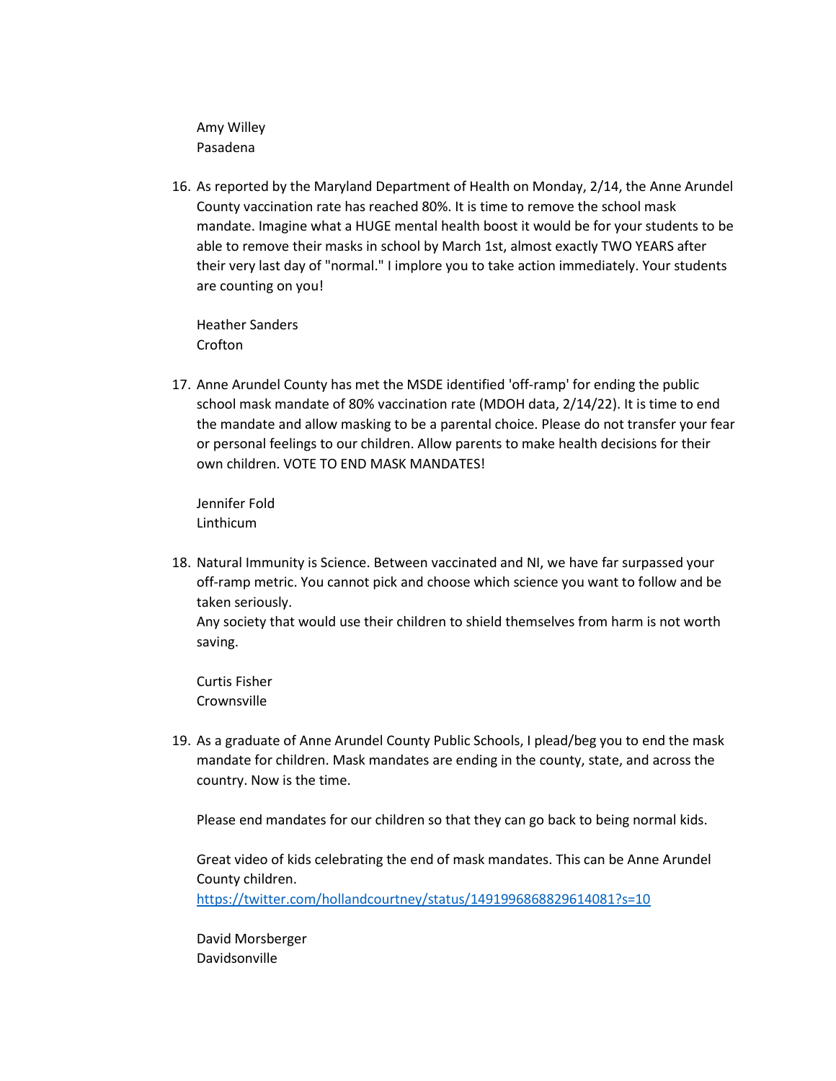Amy Willey Pasadena

16. As reported by the Maryland Department of Health on Monday, 2/14, the Anne Arundel County vaccination rate has reached 80%. It is time to remove the school mask mandate. Imagine what a HUGE mental health boost it would be for your students to be able to remove their masks in school by March 1st, almost exactly TWO YEARS after their very last day of "normal." I implore you to take action immediately. Your students are counting on you!

Heather Sanders Crofton

17. Anne Arundel County has met the MSDE identified 'off-ramp' for ending the public school mask mandate of 80% vaccination rate (MDOH data, 2/14/22). It is time to end the mandate and allow masking to be a parental choice. Please do not transfer your fear or personal feelings to our children. Allow parents to make health decisions for their own children. VOTE TO END MASK MANDATES!

Jennifer Fold Linthicum

18. Natural Immunity is Science. Between vaccinated and NI, we have far surpassed your off-ramp metric. You cannot pick and choose which science you want to follow and be taken seriously. Any society that would use their children to shield themselves from harm is not worth saving.

Curtis Fisher Crownsville

19. As a graduate of Anne Arundel County Public Schools, I plead/beg you to end the mask mandate for children. Mask mandates are ending in the county, state, and across the country. Now is the time.

Please end mandates for our children so that they can go back to being normal kids.

Great video of kids celebrating the end of mask mandates. This can be Anne Arundel County children. <https://twitter.com/hollandcourtney/status/1491996868829614081?s=10>

David Morsberger Davidsonville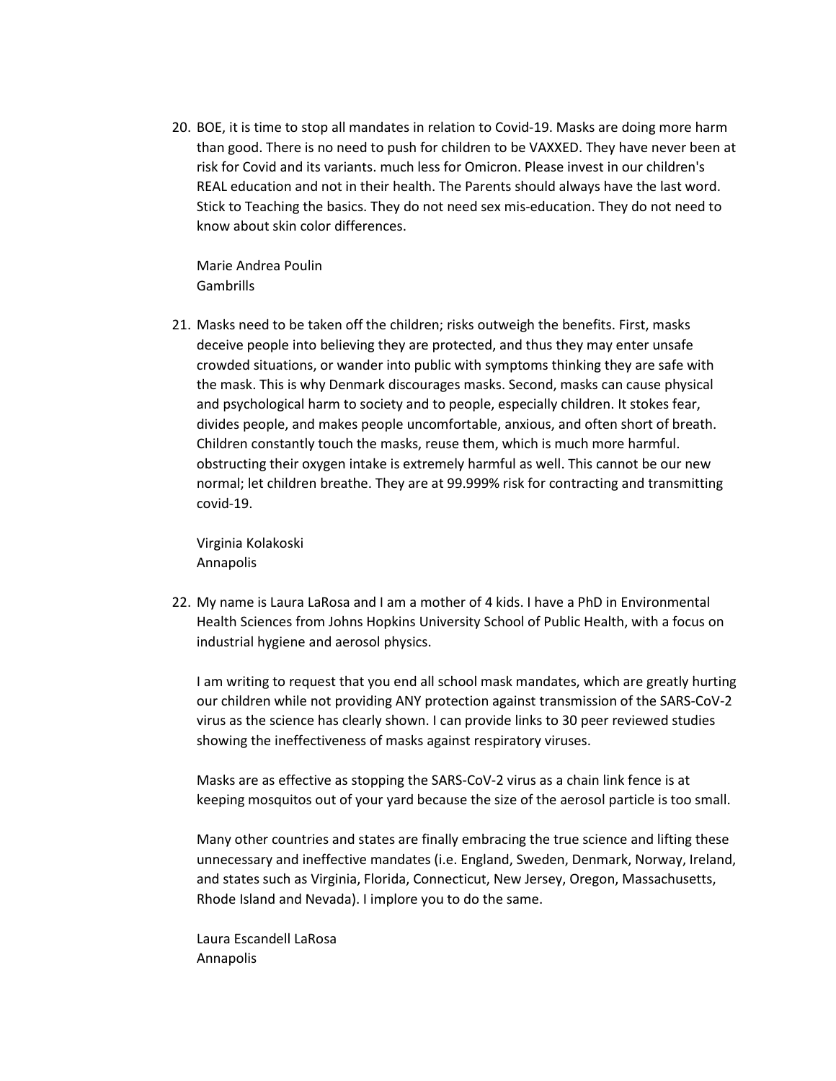20. BOE, it is time to stop all mandates in relation to Covid-19. Masks are doing more harm than good. There is no need to push for children to be VAXXED. They have never been at risk for Covid and its variants. much less for Omicron. Please invest in our children's REAL education and not in their health. The Parents should always have the last word. Stick to Teaching the basics. They do not need sex mis-education. They do not need to know about skin color differences.

Marie Andrea Poulin Gambrills

21. Masks need to be taken off the children; risks outweigh the benefits. First, masks deceive people into believing they are protected, and thus they may enter unsafe crowded situations, or wander into public with symptoms thinking they are safe with the mask. This is why Denmark discourages masks. Second, masks can cause physical and psychological harm to society and to people, especially children. It stokes fear, divides people, and makes people uncomfortable, anxious, and often short of breath. Children constantly touch the masks, reuse them, which is much more harmful. obstructing their oxygen intake is extremely harmful as well. This cannot be our new normal; let children breathe. They are at 99.999% risk for contracting and transmitting covid-19.

Virginia Kolakoski Annapolis

22. My name is Laura LaRosa and I am a mother of 4 kids. I have a PhD in Environmental Health Sciences from Johns Hopkins University School of Public Health, with a focus on industrial hygiene and aerosol physics.

I am writing to request that you end all school mask mandates, which are greatly hurting our children while not providing ANY protection against transmission of the SARS-CoV-2 virus as the science has clearly shown. I can provide links to 30 peer reviewed studies showing the ineffectiveness of masks against respiratory viruses.

Masks are as effective as stopping the SARS-CoV-2 virus as a chain link fence is at keeping mosquitos out of your yard because the size of the aerosol particle is too small.

Many other countries and states are finally embracing the true science and lifting these unnecessary and ineffective mandates (i.e. England, Sweden, Denmark, Norway, Ireland, and states such as Virginia, Florida, Connecticut, New Jersey, Oregon, Massachusetts, Rhode Island and Nevada). I implore you to do the same.

Laura Escandell LaRosa Annapolis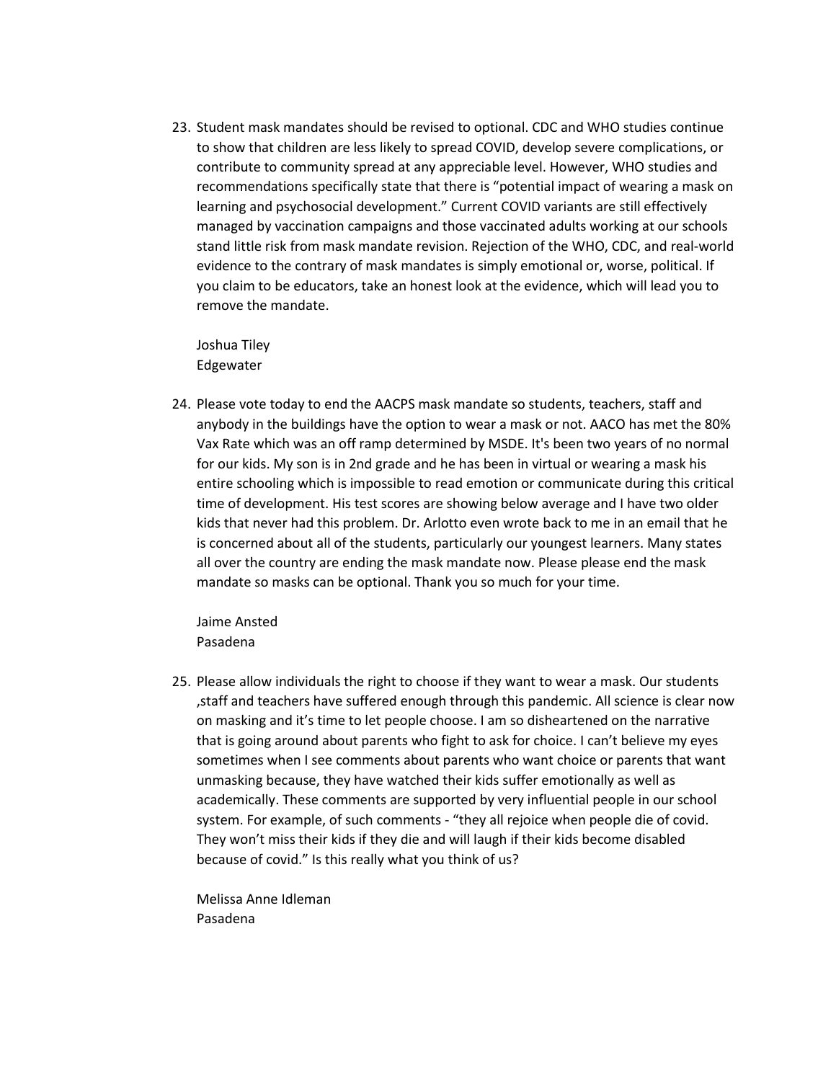23. Student mask mandates should be revised to optional. CDC and WHO studies continue to show that children are less likely to spread COVID, develop severe complications, or contribute to community spread at any appreciable level. However, WHO studies and recommendations specifically state that there is "potential impact of wearing a mask on learning and psychosocial development." Current COVID variants are still effectively managed by vaccination campaigns and those vaccinated adults working at our schools stand little risk from mask mandate revision. Rejection of the WHO, CDC, and real-world evidence to the contrary of mask mandates is simply emotional or, worse, political. If you claim to be educators, take an honest look at the evidence, which will lead you to remove the mandate.

Joshua Tiley Edgewater

24. Please vote today to end the AACPS mask mandate so students, teachers, staff and anybody in the buildings have the option to wear a mask or not. AACO has met the 80% Vax Rate which was an off ramp determined by MSDE. It's been two years of no normal for our kids. My son is in 2nd grade and he has been in virtual or wearing a mask his entire schooling which is impossible to read emotion or communicate during this critical time of development. His test scores are showing below average and I have two older kids that never had this problem. Dr. Arlotto even wrote back to me in an email that he is concerned about all of the students, particularly our youngest learners. Many states all over the country are ending the mask mandate now. Please please end the mask mandate so masks can be optional. Thank you so much for your time.

Jaime Ansted Pasadena

25. Please allow individuals the right to choose if they want to wear a mask. Our students ,staff and teachers have suffered enough through this pandemic. All science is clear now on masking and it's time to let people choose. I am so disheartened on the narrative that is going around about parents who fight to ask for choice. I can't believe my eyes sometimes when I see comments about parents who want choice or parents that want unmasking because, they have watched their kids suffer emotionally as well as academically. These comments are supported by very influential people in our school system. For example, of such comments - "they all rejoice when people die of covid. They won't miss their kids if they die and will laugh if their kids become disabled because of covid." Is this really what you think of us?

Melissa Anne Idleman Pasadena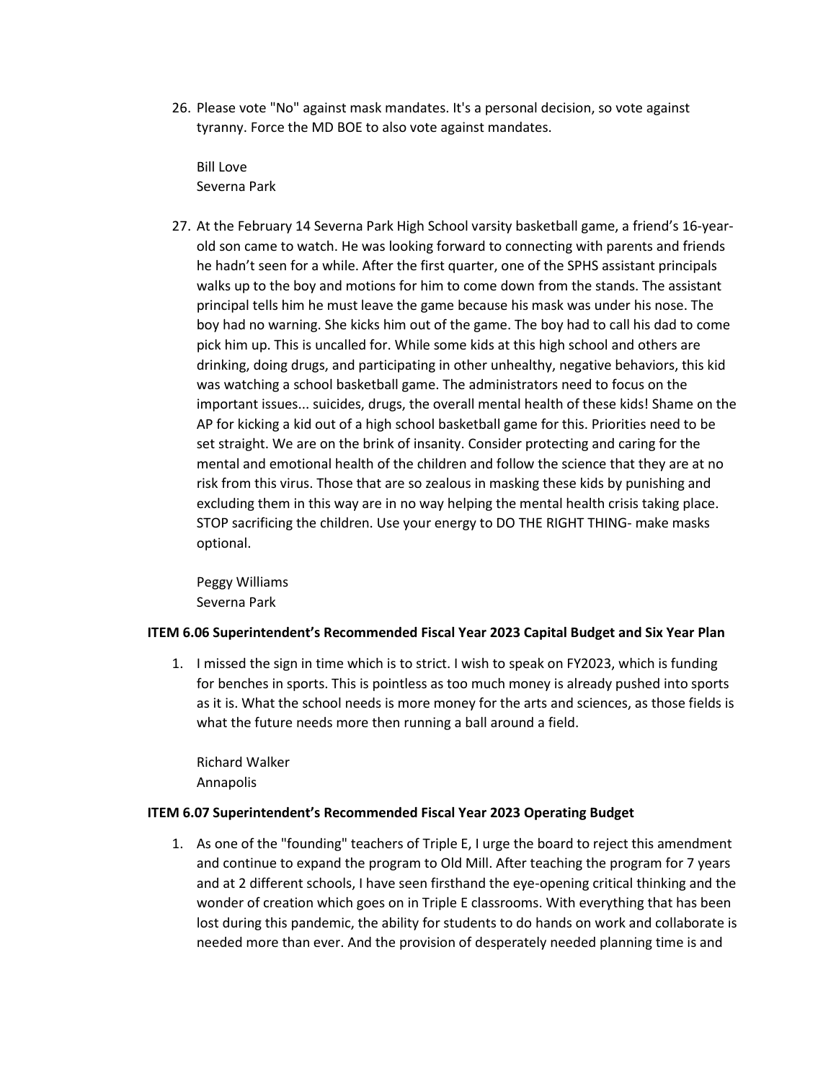26. Please vote "No" against mask mandates. It's a personal decision, so vote against tyranny. Force the MD BOE to also vote against mandates.

Bill Love Severna Park

27. At the February 14 Severna Park High School varsity basketball game, a friend's 16-yearold son came to watch. He was looking forward to connecting with parents and friends he hadn't seen for a while. After the first quarter, one of the SPHS assistant principals walks up to the boy and motions for him to come down from the stands. The assistant principal tells him he must leave the game because his mask was under his nose. The boy had no warning. She kicks him out of the game. The boy had to call his dad to come pick him up. This is uncalled for. While some kids at this high school and others are drinking, doing drugs, and participating in other unhealthy, negative behaviors, this kid was watching a school basketball game. The administrators need to focus on the important issues... suicides, drugs, the overall mental health of these kids! Shame on the AP for kicking a kid out of a high school basketball game for this. Priorities need to be set straight. We are on the brink of insanity. Consider protecting and caring for the mental and emotional health of the children and follow the science that they are at no risk from this virus. Those that are so zealous in masking these kids by punishing and excluding them in this way are in no way helping the mental health crisis taking place. STOP sacrificing the children. Use your energy to DO THE RIGHT THING- make masks optional.

Peggy Williams Severna Park

# **ITEM 6.06 Superintendent's Recommended Fiscal Year 2023 Capital Budget and Six Year Plan**

1. I missed the sign in time which is to strict. I wish to speak on FY2023, which is funding for benches in sports. This is pointless as too much money is already pushed into sports as it is. What the school needs is more money for the arts and sciences, as those fields is what the future needs more then running a ball around a field.

Richard Walker Annapolis

# **ITEM 6.07 Superintendent's Recommended Fiscal Year 2023 Operating Budget**

1. As one of the "founding" teachers of Triple E, I urge the board to reject this amendment and continue to expand the program to Old Mill. After teaching the program for 7 years and at 2 different schools, I have seen firsthand the eye-opening critical thinking and the wonder of creation which goes on in Triple E classrooms. With everything that has been lost during this pandemic, the ability for students to do hands on work and collaborate is needed more than ever. And the provision of desperately needed planning time is and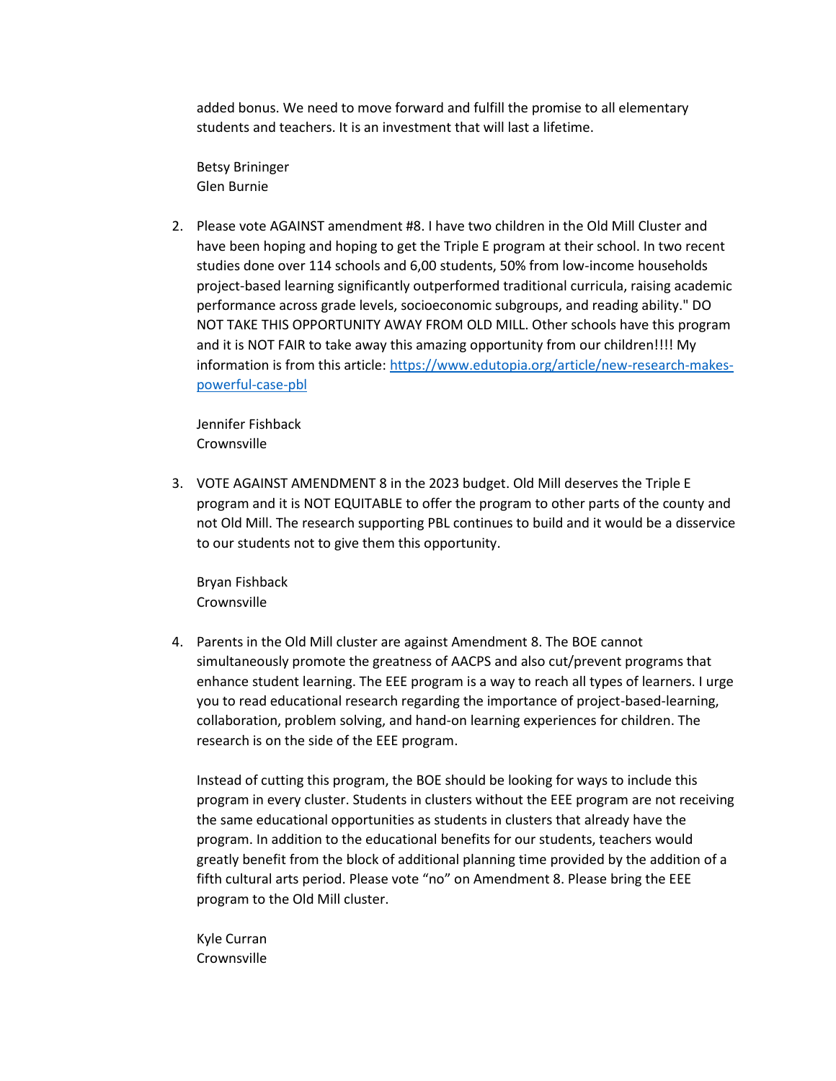added bonus. We need to move forward and fulfill the promise to all elementary students and teachers. It is an investment that will last a lifetime.

Betsy Brininger Glen Burnie

2. Please vote AGAINST amendment #8. I have two children in the Old Mill Cluster and have been hoping and hoping to get the Triple E program at their school. In two recent studies done over 114 schools and 6,00 students, 50% from low-income households project-based learning significantly outperformed traditional curricula, raising academic performance across grade levels, socioeconomic subgroups, and reading ability." DO NOT TAKE THIS OPPORTUNITY AWAY FROM OLD MILL. Other schools have this program and it is NOT FAIR to take away this amazing opportunity from our children!!!! My information is from this article[: https://www.edutopia.org/article/new-research-makes](https://www.edutopia.org/article/new-research-makes-powerful-case-pbl)[powerful-case-pbl](https://www.edutopia.org/article/new-research-makes-powerful-case-pbl)

Jennifer Fishback **Crownsville** 

3. VOTE AGAINST AMENDMENT 8 in the 2023 budget. Old Mill deserves the Triple E program and it is NOT EQUITABLE to offer the program to other parts of the county and not Old Mill. The research supporting PBL continues to build and it would be a disservice to our students not to give them this opportunity.

Bryan Fishback Crownsville

4. Parents in the Old Mill cluster are against Amendment 8. The BOE cannot simultaneously promote the greatness of AACPS and also cut/prevent programs that enhance student learning. The EEE program is a way to reach all types of learners. I urge you to read educational research regarding the importance of project-based-learning, collaboration, problem solving, and hand-on learning experiences for children. The research is on the side of the EEE program.

Instead of cutting this program, the BOE should be looking for ways to include this program in every cluster. Students in clusters without the EEE program are not receiving the same educational opportunities as students in clusters that already have the program. In addition to the educational benefits for our students, teachers would greatly benefit from the block of additional planning time provided by the addition of a fifth cultural arts period. Please vote "no" on Amendment 8. Please bring the EEE program to the Old Mill cluster.

Kyle Curran **Crownsville**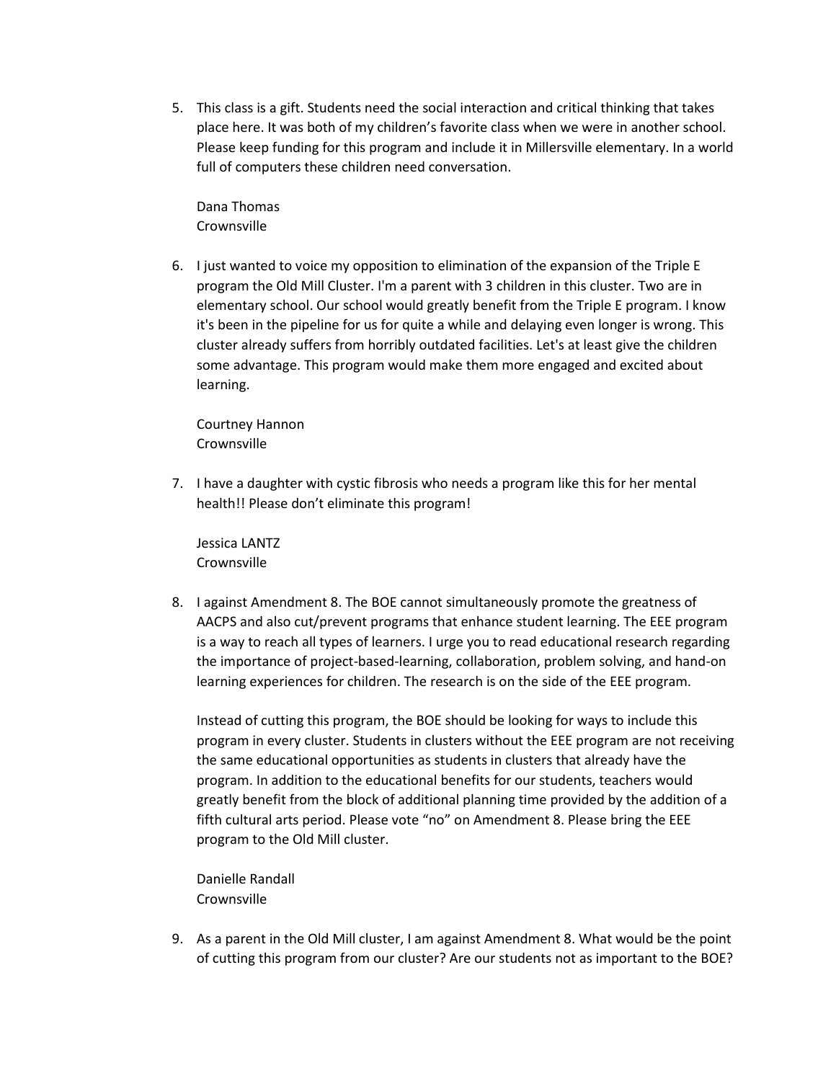5. This class is a gift. Students need the social interaction and critical thinking that takes place here. It was both of my children's favorite class when we were in another school. Please keep funding for this program and include it in Millersville elementary. In a world full of computers these children need conversation.

Dana Thomas **Crownsville** 

6. I just wanted to voice my opposition to elimination of the expansion of the Triple E program the Old Mill Cluster. I'm a parent with 3 children in this cluster. Two are in elementary school. Our school would greatly benefit from the Triple E program. I know it's been in the pipeline for us for quite a while and delaying even longer is wrong. This cluster already suffers from horribly outdated facilities. Let's at least give the children some advantage. This program would make them more engaged and excited about learning.

Courtney Hannon **Crownsville** 

7. I have a daughter with cystic fibrosis who needs a program like this for her mental health!! Please don't eliminate this program!

Jessica LANTZ **Crownsville** 

8. I against Amendment 8. The BOE cannot simultaneously promote the greatness of AACPS and also cut/prevent programs that enhance student learning. The EEE program is a way to reach all types of learners. I urge you to read educational research regarding the importance of project-based-learning, collaboration, problem solving, and hand-on learning experiences for children. The research is on the side of the EEE program.

Instead of cutting this program, the BOE should be looking for ways to include this program in every cluster. Students in clusters without the EEE program are not receiving the same educational opportunities as students in clusters that already have the program. In addition to the educational benefits for our students, teachers would greatly benefit from the block of additional planning time provided by the addition of a fifth cultural arts period. Please vote "no" on Amendment 8. Please bring the EEE program to the Old Mill cluster.

Danielle Randall Crownsville

9. As a parent in the Old Mill cluster, I am against Amendment 8. What would be the point of cutting this program from our cluster? Are our students not as important to the BOE?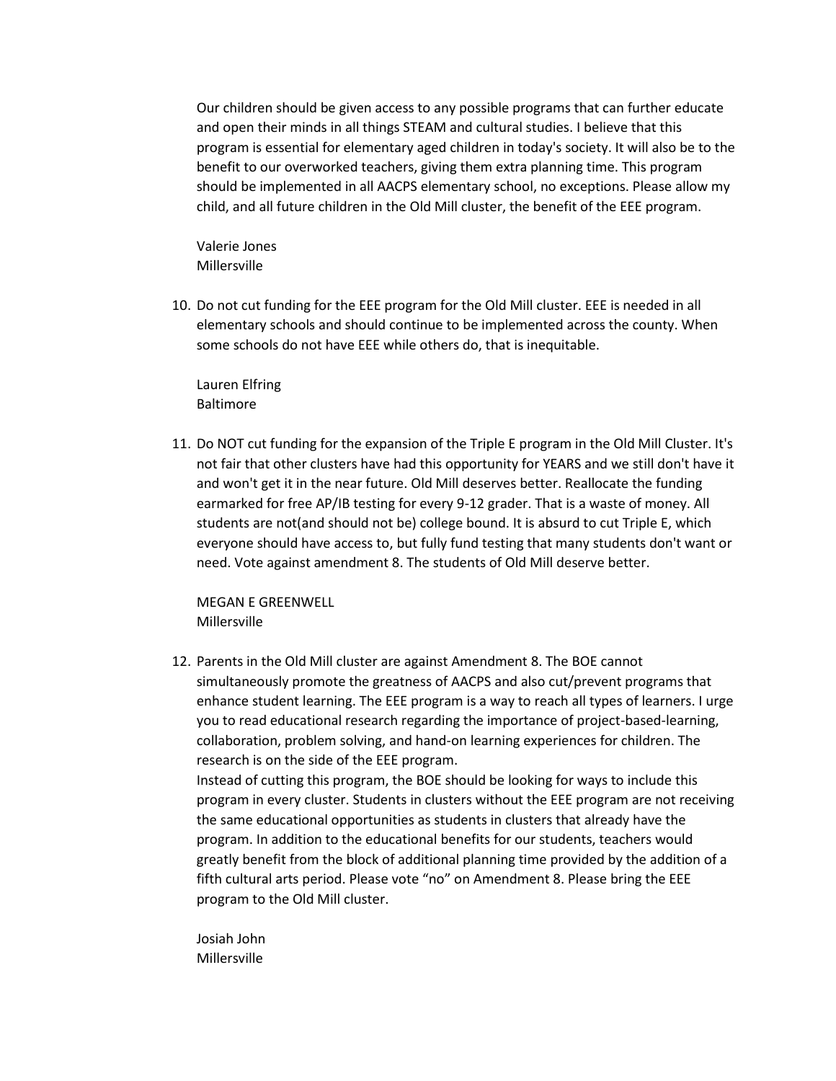Our children should be given access to any possible programs that can further educate and open their minds in all things STEAM and cultural studies. I believe that this program is essential for elementary aged children in today's society. It will also be to the benefit to our overworked teachers, giving them extra planning time. This program should be implemented in all AACPS elementary school, no exceptions. Please allow my child, and all future children in the Old Mill cluster, the benefit of the EEE program.

Valerie Jones Millersville

10. Do not cut funding for the EEE program for the Old Mill cluster. EEE is needed in all elementary schools and should continue to be implemented across the county. When some schools do not have EEE while others do, that is inequitable.

Lauren Elfring Baltimore

11. Do NOT cut funding for the expansion of the Triple E program in the Old Mill Cluster. It's not fair that other clusters have had this opportunity for YEARS and we still don't have it and won't get it in the near future. Old Mill deserves better. Reallocate the funding earmarked for free AP/IB testing for every 9-12 grader. That is a waste of money. All students are not(and should not be) college bound. It is absurd to cut Triple E, which everyone should have access to, but fully fund testing that many students don't want or need. Vote against amendment 8. The students of Old Mill deserve better.

MEGAN E GREENWELL Millersville

12. Parents in the Old Mill cluster are against Amendment 8. The BOE cannot simultaneously promote the greatness of AACPS and also cut/prevent programs that enhance student learning. The EEE program is a way to reach all types of learners. I urge you to read educational research regarding the importance of project-based-learning, collaboration, problem solving, and hand-on learning experiences for children. The research is on the side of the EEE program. Instead of cutting this program, the BOE should be looking for ways to include this program in every cluster. Students in clusters without the EEE program are not receiving the same educational opportunities as students in clusters that already have the program. In addition to the educational benefits for our students, teachers would

greatly benefit from the block of additional planning time provided by the addition of a fifth cultural arts period. Please vote "no" on Amendment 8. Please bring the EEE program to the Old Mill cluster.

Josiah John Millersville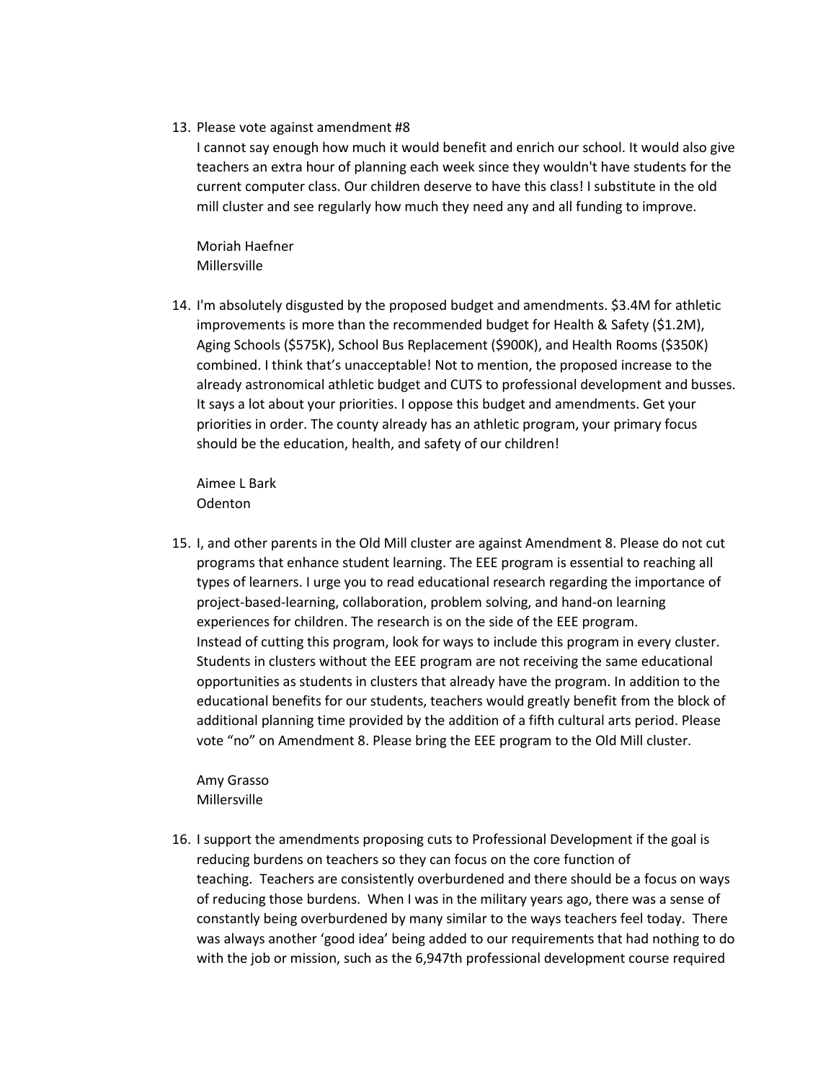13. Please vote against amendment #8

I cannot say enough how much it would benefit and enrich our school. It would also give teachers an extra hour of planning each week since they wouldn't have students for the current computer class. Our children deserve to have this class! I substitute in the old mill cluster and see regularly how much they need any and all funding to improve.

Moriah Haefner Millersville

14. I'm absolutely disgusted by the proposed budget and amendments. \$3.4M for athletic improvements is more than the recommended budget for Health & Safety (\$1.2M), Aging Schools (\$575K), School Bus Replacement (\$900K), and Health Rooms (\$350K) combined. I think that's unacceptable! Not to mention, the proposed increase to the already astronomical athletic budget and CUTS to professional development and busses. It says a lot about your priorities. I oppose this budget and amendments. Get your priorities in order. The county already has an athletic program, your primary focus should be the education, health, and safety of our children!

Aimee L Bark Odenton

15. I, and other parents in the Old Mill cluster are against Amendment 8. Please do not cut programs that enhance student learning. The EEE program is essential to reaching all types of learners. I urge you to read educational research regarding the importance of project-based-learning, collaboration, problem solving, and hand-on learning experiences for children. The research is on the side of the EEE program. Instead of cutting this program, look for ways to include this program in every cluster. Students in clusters without the EEE program are not receiving the same educational opportunities as students in clusters that already have the program. In addition to the educational benefits for our students, teachers would greatly benefit from the block of additional planning time provided by the addition of a fifth cultural arts period. Please vote "no" on Amendment 8. Please bring the EEE program to the Old Mill cluster.

Amy Grasso Millersville

16. I support the amendments proposing cuts to Professional Development if the goal is reducing burdens on teachers so they can focus on the core function of teaching. Teachers are consistently overburdened and there should be a focus on ways of reducing those burdens. When I was in the military years ago, there was a sense of constantly being overburdened by many similar to the ways teachers feel today. There was always another 'good idea' being added to our requirements that had nothing to do with the job or mission, such as the 6,947th professional development course required